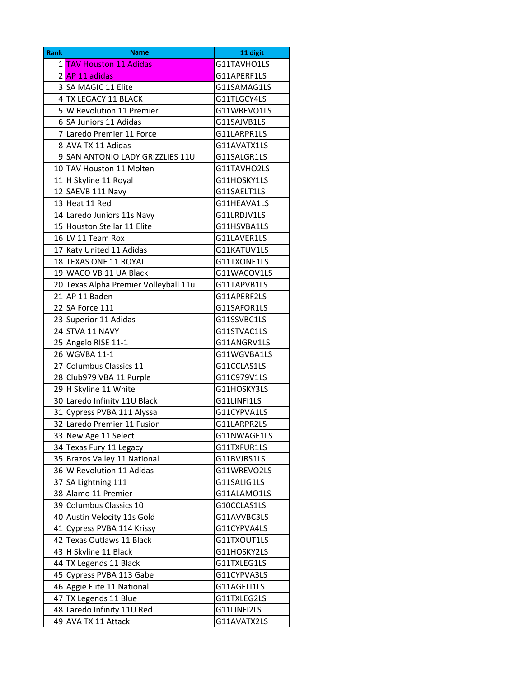| <b>Rank</b> | <b>Name</b>                           | 11 digit    |
|-------------|---------------------------------------|-------------|
|             | 1 TAV Houston 11 Adidas               | G11TAVHO1LS |
|             | 2 AP 11 adidas                        | G11APERF1LS |
|             | 3 SA MAGIC 11 Elite                   | G11SAMAG1LS |
|             | 4 TX LEGACY 11 BLACK                  | G11TLGCY4LS |
|             | 5 W Revolution 11 Premier             | G11WREVO1LS |
|             | 6 SA Juniors 11 Adidas                | G11SAJVB1LS |
|             | 7 Laredo Premier 11 Force             | G11LARPR1LS |
|             | 8 AVA TX 11 Adidas                    | G11AVATX1LS |
|             | 9 SAN ANTONIO LADY GRIZZLIES 11U      | G11SALGR1LS |
|             | 10 TAV Houston 11 Molten              | G11TAVHO2LS |
|             | 11 H Skyline 11 Royal                 | G11HOSKY1LS |
|             | 12 SAEVB 111 Navy                     | G11SAELT1LS |
|             | 13 Heat 11 Red                        | G11HEAVA1LS |
|             | 14 Laredo Juniors 11s Navy            | G11LRDJV1LS |
|             | 15 Houston Stellar 11 Elite           | G11HSVBA1LS |
|             | 16 LV 11 Team Rox                     | G11LAVER1LS |
|             | 17 Katy United 11 Adidas              | G11KATUV1LS |
|             | 18 TEXAS ONE 11 ROYAL                 | G11TXONE1LS |
|             | 19 WACO VB 11 UA Black                | G11WACOV1LS |
|             | 20 Texas Alpha Premier Volleyball 11u | G11TAPVB1LS |
|             | $21$ AP 11 Baden                      | G11APERF2LS |
|             | 22 SA Force 111                       | G11SAFOR1LS |
|             | 23 Superior 11 Adidas                 | G11SSVBC1LS |
|             | 24 STVA 11 NAVY                       | G11STVAC1LS |
|             | 25 Angelo RISE 11-1                   | G11ANGRV1LS |
|             | 26 WGVBA 11-1                         | G11WGVBA1LS |
|             | 27 Columbus Classics 11               | G11CCLAS1LS |
|             | 28 Club979 VBA 11 Purple              | G11C979V1LS |
|             | 29 H Skyline 11 White                 | G11HOSKY3LS |
|             | 30 Laredo Infinity 11U Black          | G11LINFI1LS |
|             | 31 Cypress PVBA 111 Alyssa            | G11CYPVA1LS |
|             | 32 Laredo Premier 11 Fusion           | G11LARPR2LS |
|             | 33 New Age 11 Select                  | G11NWAGE1LS |
|             | 34 Texas Fury 11 Legacy               | G11TXFUR1LS |
|             | 35 Brazos Valley 11 National          | G11BVJRS1LS |
|             | 36 W Revolution 11 Adidas             | G11WREVO2LS |
|             | 37 SA Lightning 111                   | G11SALIG1LS |
|             | 38 Alamo 11 Premier                   | G11ALAMO1LS |
|             | 39 Columbus Classics 10               | G10CCLAS1LS |
|             | 40 Austin Velocity 11s Gold           | G11AVVBC3LS |
|             | 41 Cypress PVBA 114 Krissy            | G11CYPVA4LS |
|             | 42 Texas Outlaws 11 Black             | G11TXOUT1LS |
|             | 43 H Skyline 11 Black                 | G11HOSKY2LS |
|             | 44 TX Legends 11 Black                | G11TXLEG1LS |
|             | 45 Cypress PVBA 113 Gabe              | G11CYPVA3LS |
|             | 46 Aggie Elite 11 National            | G11AGELI1LS |
|             | 47 TX Legends 11 Blue                 | G11TXLEG2LS |
|             | 48 Laredo Infinity 11U Red            | G11LINFI2LS |
|             | 49 AVA TX 11 Attack                   | G11AVATX2LS |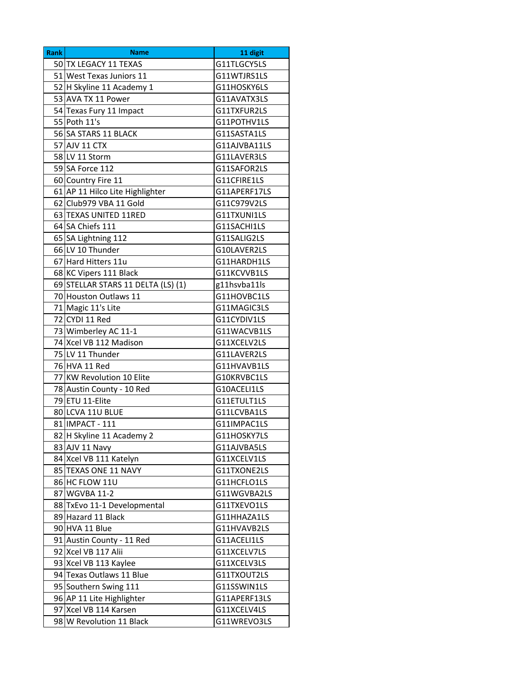| <b>Rank</b> | <b>Name</b>                        | 11 digit     |
|-------------|------------------------------------|--------------|
|             | 50 TX LEGACY 11 TEXAS              | G11TLGCY5LS  |
|             | 51 West Texas Juniors 11           | G11WTJRS1LS  |
|             | 52 H Skyline 11 Academy 1          | G11HOSKY6LS  |
|             | 53 AVA TX 11 Power                 | G11AVATX3LS  |
|             | 54 Texas Fury 11 Impact            | G11TXFUR2LS  |
|             | 55 Poth 11's                       | G11POTHV1LS  |
|             | 56 SA STARS 11 BLACK               | G11SASTA1LS  |
|             | 57 AJV 11 CTX                      | G11AJVBA11LS |
|             | 58 LV 11 Storm                     | G11LAVER3LS  |
|             | 59 SA Force 112                    | G11SAFOR2LS  |
|             | 60 Country Fire 11                 | G11CFIRE1LS  |
|             | 61 AP 11 Hilco Lite Highlighter    | G11APERF17LS |
|             | 62 Club979 VBA 11 Gold             | G11C979V2LS  |
|             | 63 TEXAS UNITED 11RED              | G11TXUNI1LS  |
|             | 64 SA Chiefs 111                   | G11SACHI1LS  |
|             | 65 SA Lightning 112                | G11SALIG2LS  |
|             | 66 LV 10 Thunder                   | G10LAVER2LS  |
|             | 67 Hard Hitters 11u                | G11HARDH1LS  |
|             | 68 KC Vipers 111 Black             | G11KCVVB1LS  |
|             | 69 STELLAR STARS 11 DELTA (LS) (1) | g11hsvba11ls |
|             | 70 Houston Outlaws 11              | G11HOVBC1LS  |
|             | 71 Magic 11's Lite                 | G11MAGIC3LS  |
|             | 72 CYDI 11 Red                     | G11CYDIV1LS  |
|             | 73 Wimberley AC 11-1               | G11WACVB1LS  |
|             | 74 Xcel VB 112 Madison             | G11XCELV2LS  |
|             | 75 LV 11 Thunder                   | G11LAVER2LS  |
|             | 76 HVA 11 Red                      | G11HVAVB1LS  |
|             | 77 KW Revolution 10 Elite          | G10KRVBC1LS  |
|             | 78 Austin County - 10 Red          | G10ACELI1LS  |
|             | 79 ETU 11-Elite                    | G11ETULT1LS  |
|             | 80 LCVA 11U BLUE                   | G11LCVBA1LS  |
|             | 81 IMPACT - 111                    | G11IMPAC1LS  |
|             | 82 H Skyline 11 Academy 2          | G11HOSKY7LS  |
|             | 83 AJV 11 Navy                     | G11AJVBA5LS  |
|             | 84 Xcel VB 111 Katelyn             | G11XCELV1LS  |
|             | 85 TEXAS ONE 11 NAVY               | G11TXONE2LS  |
|             | 86 HC FLOW 11U                     | G11HCFLO1LS  |
|             | 87 WGVBA 11-2                      | G11WGVBA2LS  |
|             | 88 TxEvo 11-1 Developmental        | G11TXEVO1LS  |
|             | 89 Hazard 11 Black                 | G11HHAZA1LS  |
|             | 90 HVA 11 Blue                     | G11HVAVB2LS  |
|             | 91 Austin County - 11 Red          | G11ACELI1LS  |
|             | 92 Xcel VB 117 Alii                | G11XCELV7LS  |
|             | 93 Xcel VB 113 Kaylee              | G11XCELV3LS  |
|             | 94 Texas Outlaws 11 Blue           | G11TXOUT2LS  |
|             | 95 Southern Swing 111              | G11SSWIN1LS  |
|             | 96 AP 11 Lite Highlighter          | G11APERF13LS |
|             | 97 Xcel VB 114 Karsen              | G11XCELV4LS  |
|             | 98 W Revolution 11 Black           | G11WREVO3LS  |
|             |                                    |              |